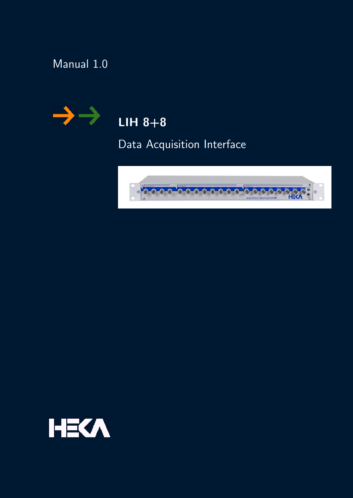# Manual 1.0



# $LIH 8+8$

Data Acquisition Interface



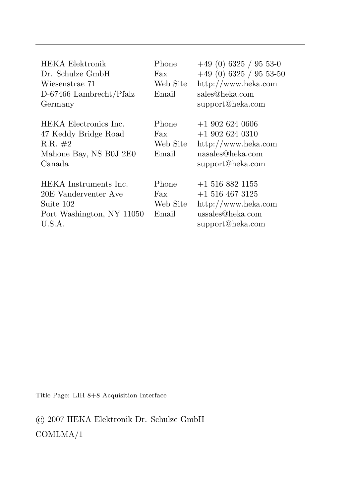| <b>HEKA</b> Elektronik<br>Dr. Schulze GmbH<br>Wiesenstrae 71<br>D-67466 Lambrecht/Pfalz<br>Germany | Phone<br>Fax<br>Web Site<br>Email | $+49(0)$ 6325 / 95 53-0<br>$+49(0)$ 6325 / 95 53-50<br>http://www.heka.com<br>sales@heka.com<br>support@heka.com |
|----------------------------------------------------------------------------------------------------|-----------------------------------|------------------------------------------------------------------------------------------------------------------|
| HEKA Electronics Inc.<br>47 Keddy Bridge Road<br>$R.R. \#2$<br>Mahone Bay, NS B0J 2E0<br>Canada    | Phone<br>Fax<br>Web Site<br>Email | $+19026240606$<br>$+1$ 902 624 0310<br>$\frac{http://www.heka.com}{$<br>nasales@heka.com<br>support@heka.com     |
| HEKA Instruments Inc.<br>20E Vanderventer Ave<br>Suite 102<br>Port Washington, NY 11050<br>U.S.A.  | Phone<br>Fax<br>Web Site<br>Email | $+15168821155$<br>$+15164673125$<br>http://www.heka.com<br>ussales@heka.com<br>support@heka.com                  |

Title Page: LIH 8+8 Acquisition Interface

© 2007 HEKA Elektronik Dr. Schulze GmbH COMLMA/1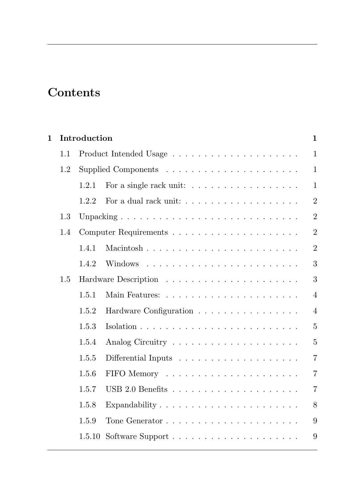## Contents

| 1 |     | Introduction |                                                                   | 1              |
|---|-----|--------------|-------------------------------------------------------------------|----------------|
|   | 1.1 |              |                                                                   | $\mathbf{1}$   |
|   | 1.2 |              |                                                                   | $\mathbf{1}$   |
|   |     | 1.2.1        | For a single rack unit: $\ldots \ldots \ldots \ldots \ldots$      | $\mathbf{1}$   |
|   |     | 1.2.2        | For a dual rack unit: $\ldots \ldots \ldots \ldots \ldots \ldots$ | $\overline{2}$ |
|   | 1.3 |              |                                                                   | $\overline{2}$ |
|   | 1.4 |              |                                                                   | $\overline{2}$ |
|   |     | 1.4.1        | Macintosh                                                         | $\overline{2}$ |
|   |     | 1.4.2        |                                                                   | 3              |
|   | 1.5 |              |                                                                   | 3              |
|   |     | 1.5.1        |                                                                   | $\overline{4}$ |
|   |     | 1.5.2        | Hardware Configuration                                            | $\overline{4}$ |
|   |     | 1.5.3        |                                                                   | $\overline{5}$ |
|   |     | 1.5.4        |                                                                   | $\overline{5}$ |
|   |     | 1.5.5        |                                                                   | 7              |
|   |     | 1.5.6        |                                                                   | 7              |
|   |     | 1.5.7        |                                                                   | $\overline{7}$ |
|   |     | 1.5.8        | Expandability $\ldots \ldots \ldots \ldots \ldots \ldots \ldots$  | 8              |
|   |     | 1.5.9        |                                                                   | 9              |
|   |     | 1.5.10       |                                                                   | 9              |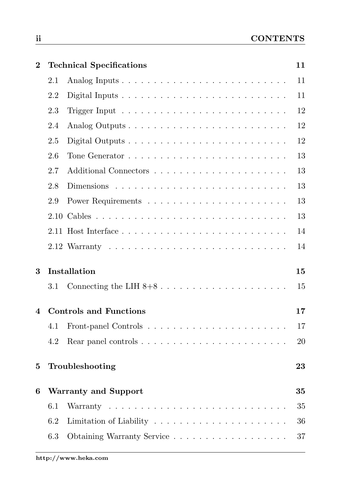| $\bf{2}$ |         | <b>Technical Specifications</b> | 11 |
|----------|---------|---------------------------------|----|
|          | 2.1     |                                 | 11 |
|          | 2.2     |                                 | 11 |
|          | 2.3     |                                 | 12 |
|          | 2.4     |                                 | 12 |
|          | 2.5     |                                 | 12 |
|          | 2.6     |                                 | 13 |
|          | 2.7     |                                 | 13 |
|          | 2.8     |                                 | 13 |
|          | 2.9     |                                 | 13 |
|          |         |                                 | 13 |
|          |         |                                 | 14 |
|          |         |                                 | 14 |
| 3        |         | Installation                    | 15 |
|          | 3.1     |                                 | 15 |
| 4        |         | <b>Controls and Functions</b>   | 17 |
|          | 4.1     |                                 | 17 |
|          | 4.2     |                                 | 20 |
| 5        |         | Troubleshooting                 | 23 |
| 6        |         | <b>Warranty and Support</b>     | 35 |
|          | 6.1     |                                 | 35 |
|          | 6.2     |                                 | 36 |
|          | $6.3\,$ | Obtaining Warranty Service      | 37 |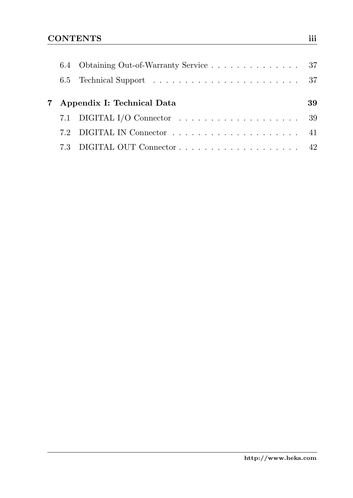|  | 6.4 Obtaining Out-of-Warranty Service 37                                       |    |
|--|--------------------------------------------------------------------------------|----|
|  |                                                                                |    |
|  | 7 Appendix I: Technical Data                                                   | 39 |
|  | 7.1 DIGITAL I/O Connector $\dots \dots \dots \dots \dots \dots \dots \dots$ 39 |    |
|  |                                                                                |    |
|  |                                                                                |    |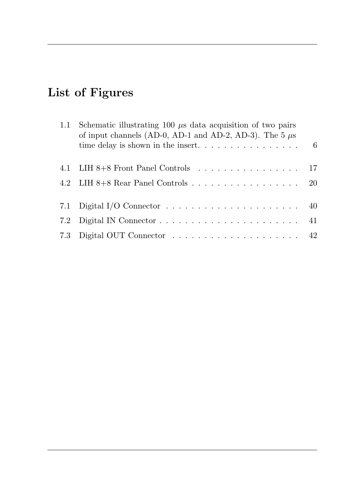# List of Figures

| 1.1 | Schematic illustrating 100 $\mu$ s data acquisition of two pairs<br>of input channels (AD-0, AD-1 and AD-2, AD-3). The 5 $\mu$ s |  |
|-----|----------------------------------------------------------------------------------------------------------------------------------|--|
|     |                                                                                                                                  |  |
|     | 4.1 LIH 8+8 Front Panel Controls 17                                                                                              |  |
|     | 4.2 LIH $8+8$ Rear Panel Controls 20                                                                                             |  |
|     | 7.1 Digital I/O Connector $\dots \dots \dots \dots \dots \dots \dots \dots \dots \dots$ 40                                       |  |
|     |                                                                                                                                  |  |
|     |                                                                                                                                  |  |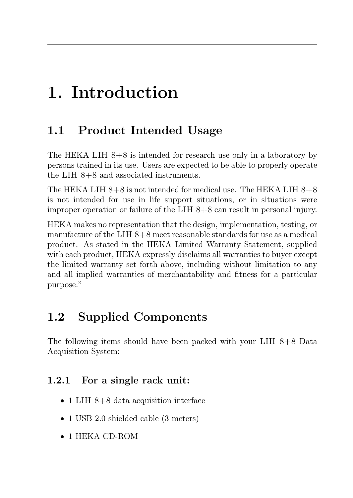# <span id="page-8-0"></span>1. Introduction

## <span id="page-8-1"></span>1.1 Product Intended Usage

The HEKA LIH 8+8 is intended for research use only in a laboratory by persons trained in its use. Users are expected to be able to properly operate the LIH  $8+8$  and associated instruments.

The HEKA LIH  $8+8$  is not intended for medical use. The HEKA LIH  $8+8$ is not intended for use in life support situations, or in situations were improper operation or failure of the LIH 8+8 can result in personal injury.

HEKA makes no representation that the design, implementation, testing, or manufacture of the LIH 8+8 meet reasonable standards for use as a medical product. As stated in the HEKA Limited Warranty Statement, supplied with each product, HEKA expressly disclaims all warranties to buyer except the limited warranty set forth above, including without limitation to any and all implied warranties of merchantability and fitness for a particular purpose."

# <span id="page-8-2"></span>1.2 Supplied Components

The following items should have been packed with your LIH 8+8 Data Acquisition System:

### <span id="page-8-3"></span>1.2.1 For a single rack unit:

- 1 LIH 8+8 data acquisition interface
- 1 USB 2.0 shielded cable (3 meters)
- 1 HEKA CD-ROM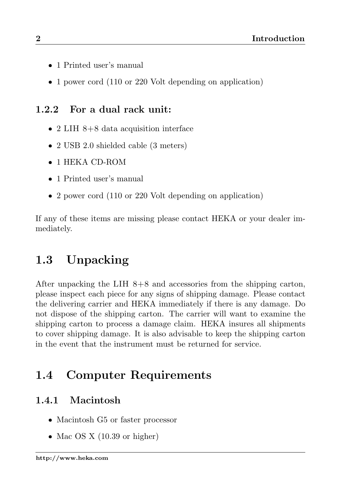- <sup>1</sup> Printed user's manual
- 1 power cord (110 or 220 Volt depending on application)

### <span id="page-9-0"></span>1.2.2 For a dual rack unit:

- 2 LIH 8+8 data acquisition interface
- 2 USB 2.0 shielded cable (3 meters)
- 1 HEKA CD-ROM
- 1 Printed user's manual
- 2 power cord (110 or 220 Volt depending on application)

If any of these items are missing please contact HEKA or your dealer immediately.

# <span id="page-9-1"></span>1.3 Unpacking

After unpacking the LIH 8+8 and accessories from the shipping carton, please inspect each piece for any signs of shipping damage. Please contact the delivering carrier and HEKA immediately if there is any damage. Do not dispose of the shipping carton. The carrier will want to examine the shipping carton to process a damage claim. HEKA insures all shipments to cover shipping damage. It is also advisable to keep the shipping carton in the event that the instrument must be returned for service.

# <span id="page-9-2"></span>1.4 Computer Requirements

### <span id="page-9-3"></span>1.4.1 Macintosh

- Macintosh G5 or faster processor
- Mac OS X  $(10.39 \text{ or higher})$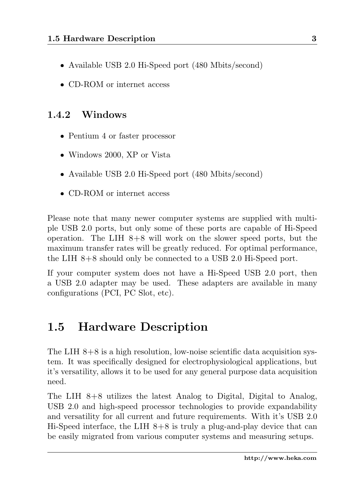- Available USB 2.0 Hi-Speed port (480 Mbits/second)
- CD-ROM or internet access

### <span id="page-10-0"></span>1.4.2 Windows

- Pentium 4 or faster processor
- Windows 2000, XP or Vista
- Available USB 2.0 Hi-Speed port (480 Mbits/second)
- CD-ROM or internet access

Please note that many newer computer systems are supplied with multiple USB 2.0 ports, but only some of these ports are capable of Hi-Speed operation. The LIH  $8+8$  will work on the slower speed ports, but the maximum transfer rates will be greatly reduced. For optimal performance, the LIH 8+8 should only be connected to a USB 2.0 Hi-Speed port.

If your computer system does not have a Hi-Speed USB 2.0 port, then a USB 2.0 adapter may be used. These adapters are available in many configurations (PCI, PC Slot, etc).

### <span id="page-10-1"></span>1.5 Hardware Description

The LIH  $8+8$  is a high resolution, low-noise scientific data acquisition system. It was specifically designed for electrophysiological applications, but it's versatility, allows it to be used for any general purpose data acquisition need.

The LIH 8+8 utilizes the latest Analog to Digital, Digital to Analog, USB 2.0 and high-speed processor technologies to provide expandability and versatility for all current and future requirements. With it's USB 2.0 Hi-Speed interface, the LIH  $8+8$  is truly a plug-and-play device that can be easily migrated from various computer systems and measuring setups.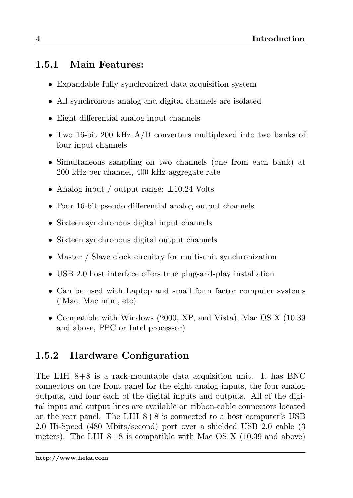### <span id="page-11-0"></span>1.5.1 Main Features:

- Expandable fully synchronized data acquisition system
- All synchronous analog and digital channels are isolated
- Eight differential analog input channels
- Two 16-bit 200 kHz A/D converters multiplexed into two banks of four input channels
- Simultaneous sampling on two channels (one from each bank) at 200 kHz per channel, 400 kHz aggregate rate
- Analog input / output range:  $\pm 10.24$  Volts
- Four 16-bit pseudo differential analog output channels
- Sixteen synchronous digital input channels
- Sixteen synchronous digital output channels
- Master / Slave clock circuitry for multi-unit synchronization
- USB 2.0 host interface offers true plug-and-play installation
- Can be used with Laptop and small form factor computer systems (iMac, Mac mini, etc)
- Compatible with Windows (2000, XP, and Vista), Mac OS X (10.39 and above, PPC or Intel processor)

### <span id="page-11-1"></span>1.5.2 Hardware Configuration

The LIH 8+8 is a rack-mountable data acquisition unit. It has BNC connectors on the front panel for the eight analog inputs, the four analog outputs, and four each of the digital inputs and outputs. All of the digital input and output lines are available on ribbon-cable connectors located on the rear panel. The LIH  $8+8$  is connected to a host computer's USB 2.0 Hi-Speed (480 Mbits/second) port over a shielded USB 2.0 cable (3 meters). The LIH  $8+8$  is compatible with Mac OS X (10.39 and above)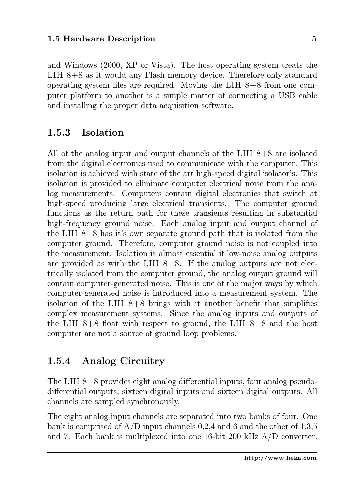and Windows (2000, XP or Vista). The host operating system treats the LIH 8+8 as it would any Flash memory device. Therefore only standard operating system files are required. Moving the LIH  $8+8$  from one computer platform to another is a simple matter of connecting a USB cable and installing the proper data acquisition software.

#### <span id="page-12-0"></span>1.5.3 Isolation

All of the analog input and output channels of the LIH 8+8 are isolated from the digital electronics used to communicate with the computer. This isolation is achieved with state of the art high-speed digital isolator's. This isolation is provided to eliminate computer electrical noise from the analog measurements. Computers contain digital electronics that switch at high-speed producing large electrical transients. The computer ground functions as the return path for these transients resulting in substantial high-frequency ground noise. Each analog input and output channel of the LIH 8+8 has it's own separate ground path that is isolated from the computer ground. Therefore, computer ground noise is not coupled into the measurement. Isolation is almost essential if low-noise analog outputs are provided as with the LIH  $8+8$ . If the analog outputs are not electrically isolated from the computer ground, the analog output ground will contain computer-generated noise. This is one of the major ways by which computer-generated noise is introduced into a measurement system. The isolation of the LIH  $8+8$  brings with it another benefit that simplifies complex measurement systems. Since the analog inputs and outputs of the LIH  $8+8$  float with respect to ground, the LIH  $8+8$  and the host computer are not a source of ground loop problems.

### <span id="page-12-1"></span>1.5.4 Analog Circuitry

The LIH 8+8 provides eight analog differential inputs, four analog pseudodifferential outputs, sixteen digital inputs and sixteen digital outputs. All channels are sampled synchronously.

The eight analog input channels are separated into two banks of four. One bank is comprised of  $A/D$  input channels 0,2,4 and 6 and the other of 1,3,5 and 7. Each bank is multiplexed into one 16-bit 200 kHz A/D converter.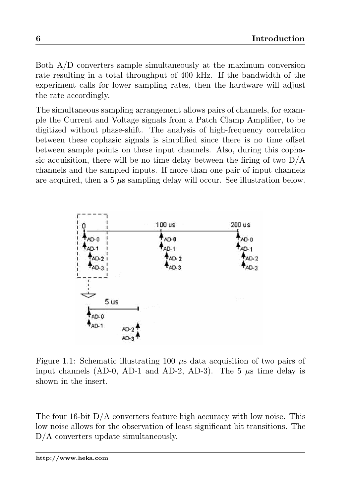Both A/D converters sample simultaneously at the maximum conversion rate resulting in a total throughput of 400 kHz. If the bandwidth of the experiment calls for lower sampling rates, then the hardware will adjust the rate accordingly.

The simultaneous sampling arrangement allows pairs of channels, for example the Current and Voltage signals from a Patch Clamp Amplifier, to be digitized without phase-shift. The analysis of high-frequency correlation between these cophasic signals is simplified since there is no time offset between sample points on these input channels. Also, during this cophasic acquisition, there will be no time delay between the firing of two  $D/A$ channels and the sampled inputs. If more than one pair of input channels are acquired, then a  $5 \mu s$  sampling delay will occur. See illustration below.



<span id="page-13-0"></span>Figure 1.1: Schematic illustrating 100  $\mu$ s data acquisition of two pairs of input channels (AD-0, AD-1 and AD-2, AD-3). The 5  $\mu$ s time delay is shown in the insert.

The four 16-bit D/A converters feature high accuracy with low noise. This low noise allows for the observation of least significant bit transitions. The D/A converters update simultaneously.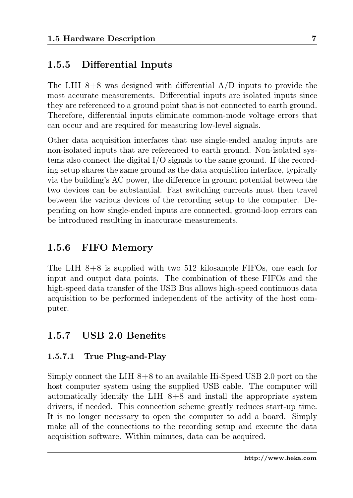#### <span id="page-14-0"></span>1.5.5 Differential Inputs

The LIH  $8+8$  was designed with differential  $A/D$  inputs to provide the most accurate measurements. Differential inputs are isolated inputs since they are referenced to a ground point that is not connected to earth ground. Therefore, differential inputs eliminate common-mode voltage errors that can occur and are required for measuring low-level signals.

Other data acquisition interfaces that use single-ended analog inputs are non-isolated inputs that are referenced to earth ground. Non-isolated systems also connect the digital I/O signals to the same ground. If the recording setup shares the same ground as the data acquisition interface, typically via the building's AC power, the difference in ground potential between the two devices can be substantial. Fast switching currents must then travel between the various devices of the recording setup to the computer. Depending on how single-ended inputs are connected, ground-loop errors can be introduced resulting in inaccurate measurements.

#### <span id="page-14-1"></span>1.5.6 FIFO Memory

The LIH 8+8 is supplied with two 512 kilosample FIFOs, one each for input and output data points. The combination of these FIFOs and the high-speed data transfer of the USB Bus allows high-speed continuous data acquisition to be performed independent of the activity of the host computer.

### <span id="page-14-2"></span>1.5.7 USB 2.0 Benefits

#### 1.5.7.1 True Plug-and-Play

Simply connect the LIH 8+8 to an available Hi-Speed USB 2.0 port on the host computer system using the supplied USB cable. The computer will automatically identify the LIH 8+8 and install the appropriate system drivers, if needed. This connection scheme greatly reduces start-up time. It is no longer necessary to open the computer to add a board. Simply make all of the connections to the recording setup and execute the data acquisition software. Within minutes, data can be acquired.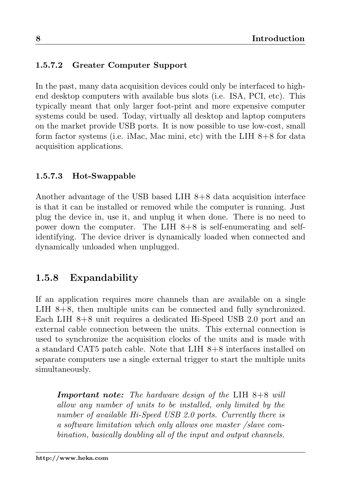#### 1.5.7.2 Greater Computer Support

In the past, many data acquisition devices could only be interfaced to highend desktop computers with available bus slots (i.e. ISA, PCI, etc). This typically meant that only larger foot-print and more expensive computer systems could be used. Today, virtually all desktop and laptop computers on the market provide USB ports. It is now possible to use low-cost, small form factor systems (i.e. iMac, Mac mini, etc) with the LIH 8+8 for data acquisition applications.

#### 1.5.7.3 Hot-Swappable

Another advantage of the USB based LIH 8+8 data acquisition interface is that it can be installed or removed while the computer is running. Just plug the device in, use it, and unplug it when done. There is no need to power down the computer. The LIH  $8+8$  is self-enumerating and selfidentifying. The device driver is dynamically loaded when connected and dynamically unloaded when unplugged.

### <span id="page-15-0"></span>1.5.8 Expandability

If an application requires more channels than are available on a single LIH 8+8, then multiple units can be connected and fully synchronized. Each LIH 8+8 unit requires a dedicated Hi-Speed USB 2.0 port and an external cable connection between the units. This external connection is used to synchronize the acquisition clocks of the units and is made with a standard CAT5 patch cable. Note that LIH 8+8 interfaces installed on separate computers use a single external trigger to start the multiple units simultaneously.

**Important note:** The hardware design of the LIH  $8+8$  will allow any number of units to be installed, only limited by the number of available Hi-Speed USB 2.0 ports. Currently there is a software limitation which only allows one master /slave combination, basically doubling all of the input and output channels.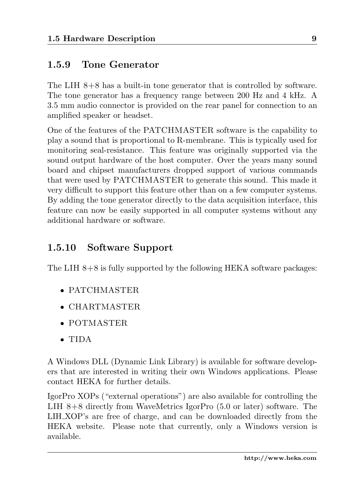### <span id="page-16-0"></span>1.5.9 Tone Generator

The LIH 8+8 has a built-in tone generator that is controlled by software. The tone generator has a frequency range between 200 Hz and 4 kHz. A 3.5 mm audio connector is provided on the rear panel for connection to an amplified speaker or headset.

One of the features of the PATCHMASTER software is the capability to play a sound that is proportional to R-membrane. This is typically used for monitoring seal-resistance. This feature was originally supported via the sound output hardware of the host computer. Over the years many sound board and chipset manufacturers dropped support of various commands that were used by PATCHMASTER to generate this sound. This made it very difficult to support this feature other than on a few computer systems. By adding the tone generator directly to the data acquisition interface, this feature can now be easily supported in all computer systems without any additional hardware or software.

### <span id="page-16-1"></span>1.5.10 Software Support

The LIH 8+8 is fully supported by the following HEKA software packages:

- PATCHMASTER
- CHARTMASTER
- POTMASTER
- TIDA

A Windows DLL (Dynamic Link Library) is available for software developers that are interested in writing their own Windows applications. Please contact HEKA for further details.

IgorPro XOPs ("external operations") are also available for controlling the LIH 8+8 directly from WaveMetrics IgorPro (5.0 or later) software. The LIH XOP's are free of charge, and can be downloaded directly from the HEKA website. Please note that currently, only a Windows version is available.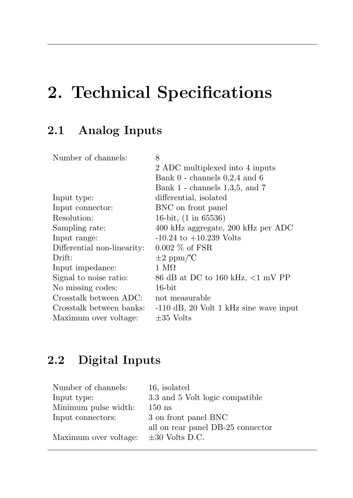# <span id="page-18-0"></span>2. Technical Specifications

# <span id="page-18-1"></span>2.1 Analog Inputs

| Number of channels:         | 8                                        |
|-----------------------------|------------------------------------------|
|                             | 2 ADC multiplexed into 4 inputs          |
|                             | Bank $0$ - channels $0.2.4$ and $6$      |
|                             | Bank $1$ - channels $1,3,5$ , and $7$    |
| Input type:                 | differential, isolated                   |
| Input connector:            | BNC on front panel                       |
| Resolution:                 | 16-bit, (1 in 65536)                     |
| Sampling rate:              | 400 kHz aggregate, 200 kHz per ADC       |
| Input range:                | $-10.24$ to $+10.239$ Volts              |
| Differential non-linearity: | $0.002\%$ of FSR                         |
| Drift:                      | $\pm 2$ ppm/ $\degree$ C                 |
| Input impedance:            | 1 ΜΩ                                     |
| Signal to noise ratio:      | 86 dB at DC to 160 kHz, $<$ 1 mV PP      |
| No missing codes:           | $16$ -bit                                |
| Crosstalk between ADC:      | not measurable                           |
| Crosstalk between banks:    | $-110$ dB, 20 Volt 1 kHz sine wave input |
| Maximum over voltage:       | $\pm 35$ Volts                           |

## <span id="page-18-2"></span>2.2 Digital Inputs

| Number of channels:   | 16, isolated                      |
|-----------------------|-----------------------------------|
| Input type:           | 3.3 and 5 Volt logic compatible   |
| Minimum pulse width:  | $150$ ns                          |
| Input connectors:     | 3 on front panel BNC              |
|                       | all on rear panel DB-25 connector |
| Maximum over voltage: | $\pm 30$ Volts D.C.               |
|                       |                                   |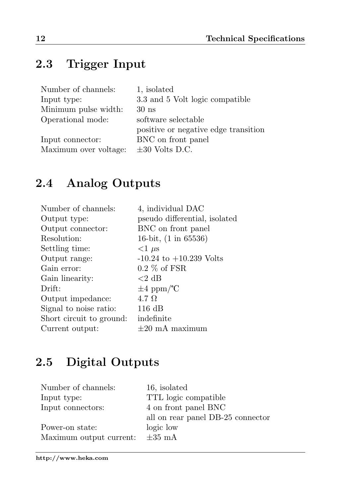# <span id="page-19-0"></span>2.3 Trigger Input

| Number of channels:   | 1. isolated                          |
|-----------------------|--------------------------------------|
| Input type:           | 3.3 and 5 Volt logic compatible      |
| Minimum pulse width:  | 30 <sub>ns</sub>                     |
| Operational mode:     | software selectable                  |
|                       | positive or negative edge transition |
| Input connector:      | BNC on front panel                   |
| Maximum over voltage: | $\pm 30$ Volts D.C.                  |

# <span id="page-19-1"></span>2.4 Analog Outputs

| Number of channels:      | 4, individual DAC               |
|--------------------------|---------------------------------|
| Output type:             | pseudo differential, isolated   |
| Output connector:        | BNC on front panel              |
| Resolution:              | 16-bit, $(1 \text{ in } 65536)$ |
| Settling time:           | $\langle 1 \mu s$               |
| Output range:            | $-10.24$ to $+10.239$ Volts     |
| Gain error:              | $0.2\%$ of FSR                  |
| Gain linearity:          | ${<}2$ dB                       |
| Drift:                   | $\pm 4$ ppm/ $^{\circ}$ C       |
| Output impedance:        | $4.7\ \Omega$                   |
| Signal to noise ratio:   | $116 \text{ dB}$                |
| Short circuit to ground: | indefinite                      |
| Current output:          | $\pm 20$ mA maximum             |

# <span id="page-19-2"></span>2.5 Digital Outputs

| 16. isolated                      |
|-----------------------------------|
| TTL logic compatible              |
| 4 on front panel BNC              |
| all on rear panel DB-25 connector |
| logic low                         |
| $\pm 35$ mA                       |
|                                   |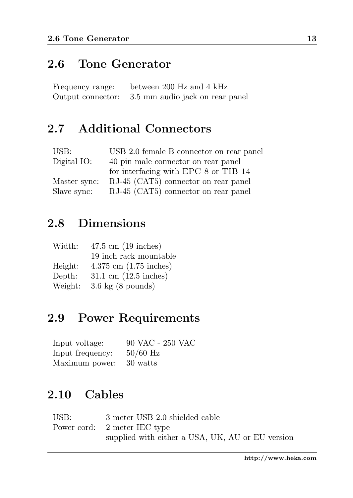### <span id="page-20-0"></span>2.6 Tone Generator

| Frequency range:  | between 200 Hz and 4 kHz        |
|-------------------|---------------------------------|
| Output connector: | 3.5 mm audio jack on rear panel |

## <span id="page-20-1"></span>2.7 Additional Connectors

| USB:         | USB 2.0 female B connector on rear panel |
|--------------|------------------------------------------|
| Digital IO:  | 40 pin male connector on rear panel      |
|              | for interfacing with EPC 8 or TIB 14     |
| Master sync: | RJ-45 (CAT5) connector on rear panel     |
| Slave sync:  | RJ-45 (CAT5) connector on rear panel     |

### <span id="page-20-2"></span>2.8 Dimensions

| Width:  | $47.5 \text{ cm}$ (19 inches)            |
|---------|------------------------------------------|
|         | 19 inch rack mountable                   |
| Height: | $4.375$ cm $(1.75$ inches)               |
| Depth:  | $31.1 \text{ cm } (12.5 \text{ inches})$ |
| Weight: | $3.6 \text{ kg}$ (8 pounds)              |

### <span id="page-20-3"></span>2.9 Power Requirements

| Input voltage:   | 90 VAC - 250 VAC |
|------------------|------------------|
| Input frequency: | $50/60$ Hz       |
| Maximum power:   | 30 watts         |

## <span id="page-20-4"></span>2.10 Cables

| USB: | 3 meter USB 2.0 shielded cable                   |
|------|--------------------------------------------------|
|      | Power cord: 2 meter IEC type                     |
|      | supplied with either a USA, UK, AU or EU version |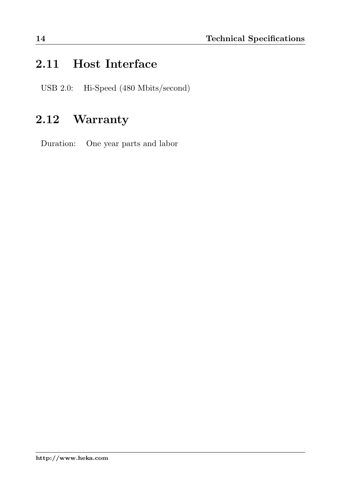## <span id="page-21-0"></span>2.11 Host Interface

USB 2.0: Hi-Speed (480 Mbits/second)

## <span id="page-21-1"></span>2.12 Warranty

Duration: One year parts and labor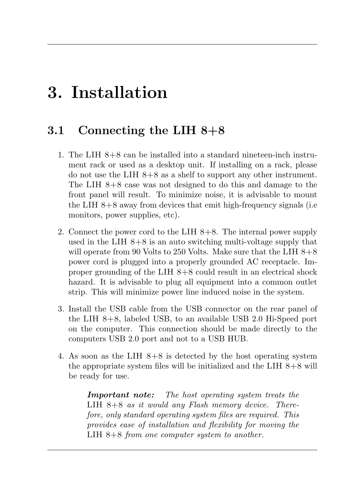# <span id="page-22-0"></span>3. Installation

### <span id="page-22-1"></span>3.1 Connecting the LIH 8+8

- 1. The LIH 8+8 can be installed into a standard nineteen-inch instrument rack or used as a desktop unit. If installing on a rack, please do not use the LIH 8+8 as a shelf to support any other instrument. The LIH 8+8 case was not designed to do this and damage to the front panel will result. To minimize noise, it is advisable to mount the LIH 8+8 away from devices that emit high-frequency signals (i.e monitors, power supplies, etc).
- 2. Connect the power cord to the LIH 8+8. The internal power supply used in the LIH  $8+8$  is an auto switching multi-voltage supply that will operate from 90 Volts to 250 Volts. Make sure that the LIH  $8+8$ power cord is plugged into a properly grounded AC receptacle. Improper grounding of the LIH 8+8 could result in an electrical shock hazard. It is advisable to plug all equipment into a common outlet strip. This will minimize power line induced noise in the system.
- 3. Install the USB cable from the USB connector on the rear panel of the LIH 8+8, labeled USB, to an available USB 2.0 Hi-Speed port on the computer. This connection should be made directly to the computers USB 2.0 port and not to a USB HUB.
- 4. As soon as the LIH  $8+8$  is detected by the host operating system the appropriate system files will be initialized and the LIH  $8+8$  will be ready for use.

Important note: The host operating system treats the LIH 8+8 as it would any Flash memory device. Therefore, only standard operating system files are required. This provides ease of installation and flexibility for moving the LIH  $8+8$  from one computer system to another.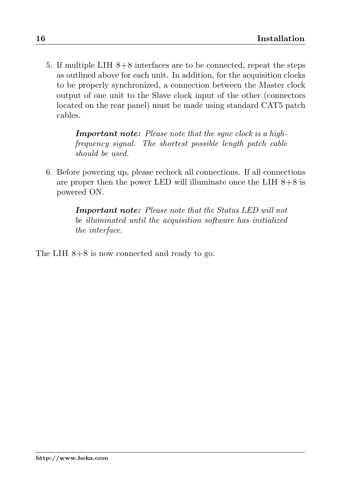5. If multiple LIH 8+8 interfaces are to be connected, repeat the steps as outlined above for each unit. In addition, for the acquisition clocks to be properly synchronized, a connection between the Master clock output of one unit to the Slave clock input of the other (connectors located on the rear panel) must be made using standard CAT5 patch cables.

> Important note: Please note that the sync clock is a highfrequency signal. The shortest possible length patch cable should be used.

6. Before powering up, please recheck all connections. If all connections are proper then the power LED will illuminate once the LIH  $8+8$  is powered ON.

> Important note: Please note that the Status LED will not be illuminated until the acquisition software has initialized the interface.

The LIH 8+8 is now connected and ready to go.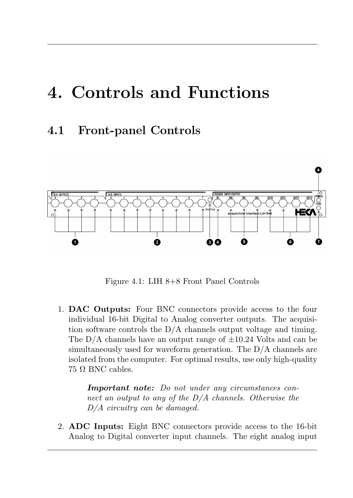# <span id="page-24-0"></span>4. Controls and Functions

### <span id="page-24-1"></span>4.1 Front-panel Controls



<span id="page-24-2"></span>Figure 4.1: LIH 8+8 Front Panel Controls

1. DAC Outputs: Four BNC connectors provide access to the four individual 16-bit Digital to Analog converter outputs. The acquisition software controls the D/A channels output voltage and timing. The  $D/A$  channels have an output range of  $\pm 10.24$  Volts and can be simultaneously used for waveform generation. The D/A channels are isolated from the computer. For optimal results, use only high-quality  $75 \Omega$  BNC cables.

> Important note: Do not under any circumstances connect an output to any of the  $D/A$  channels. Otherwise the D/A circuitry can be damaged.

2. ADC Inputs: Eight BNC connectors provide access to the 16-bit Analog to Digital converter input channels. The eight analog input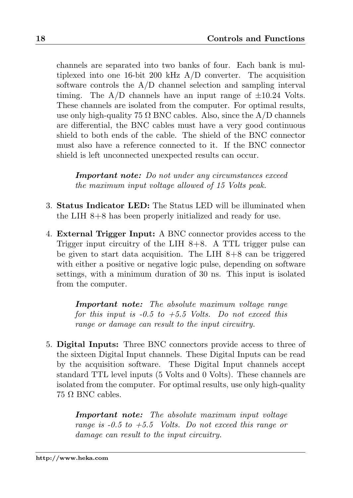channels are separated into two banks of four. Each bank is multiplexed into one 16-bit 200 kHz A/D converter. The acquisition software controls the A/D channel selection and sampling interval timing. The  $A/D$  channels have an input range of  $\pm 10.24$  Volts. These channels are isolated from the computer. For optimal results, use only high-quality 75  $\Omega$  BNC cables. Also, since the A/D channels are differential, the BNC cables must have a very good continuous shield to both ends of the cable. The shield of the BNC connector must also have a reference connected to it. If the BNC connector shield is left unconnected unexpected results can occur.

Important note: Do not under any circumstances exceed the maximum input voltage allowed of 15 Volts peak.

- 3. Status Indicator LED: The Status LED will be illuminated when the LIH 8+8 has been properly initialized and ready for use.
- 4. External Trigger Input: A BNC connector provides access to the Trigger input circuitry of the LIH 8+8. A TTL trigger pulse can be given to start data acquisition. The LIH 8+8 can be triggered with either a positive or negative logic pulse, depending on software settings, with a minimum duration of 30 ns. This input is isolated from the computer.

Important note: The absolute maximum voltage range for this input is  $-0.5$  to  $+5.5$  Volts. Do not exceed this range or damage can result to the input circuitry.

5. Digital Inputs: Three BNC connectors provide access to three of the sixteen Digital Input channels. These Digital Inputs can be read by the acquisition software. These Digital Input channels accept standard TTL level inputs (5 Volts and 0 Volts). These channels are isolated from the computer. For optimal results, use only high-quality 75 Ω BNC cables.

> Important note: The absolute maximum input voltage range is  $-0.5$  to  $+5.5$  Volts. Do not exceed this range or damage can result to the input circuitry.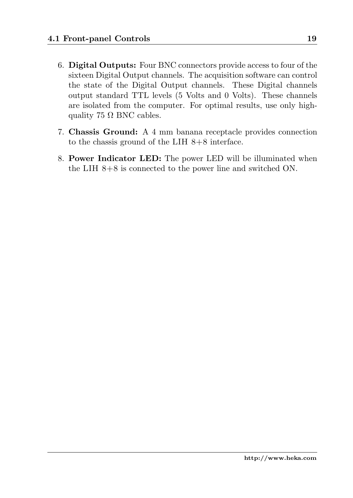- 6. Digital Outputs: Four BNC connectors provide access to four of the sixteen Digital Output channels. The acquisition software can control the state of the Digital Output channels. These Digital channels output standard TTL levels (5 Volts and 0 Volts). These channels are isolated from the computer. For optimal results, use only highquality 75  $\Omega$  BNC cables.
- 7. Chassis Ground: A 4 mm banana receptacle provides connection to the chassis ground of the LIH 8+8 interface.
- 8. Power Indicator LED: The power LED will be illuminated when the LIH 8+8 is connected to the power line and switched ON.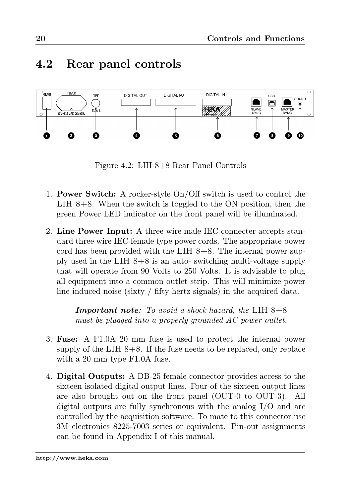### <span id="page-27-0"></span>4.2 Rear panel controls



<span id="page-27-1"></span>Figure 4.2: LIH 8+8 Rear Panel Controls

- 1. Power Switch: A rocker-style On/Off switch is used to control the LIH 8+8. When the switch is toggled to the ON position, then the green Power LED indicator on the front panel will be illuminated.
- 2. Line Power Input: A three wire male IEC connecter accepts standard three wire IEC female type power cords. The appropriate power cord has been provided with the LIH  $8+8$ . The internal power supply used in the LIH 8+8 is an auto- switching multi-voltage supply that will operate from 90 Volts to 250 Volts. It is advisable to plug all equipment into a common outlet strip. This will minimize power line induced noise (sixty / fifty hertz signals) in the acquired data.

**Important note:** To avoid a shock hazard, the LIH  $8+8$ must be plugged into a properly grounded AC power outlet.

- 3. Fuse: A F1.0A 20 mm fuse is used to protect the internal power supply of the LIH  $8+8$ . If the fuse needs to be replaced, only replace with a 20 mm type F1.0A fuse.
- 4. Digital Outputs: A DB-25 female connector provides access to the sixteen isolated digital output lines. Four of the sixteen output lines are also brought out on the front panel (OUT-0 to OUT-3). All digital outputs are fully synchronous with the analog I/O and are controlled by the acquisition software. To mate to this connector use 3M electronics 8225-7003 series or equivalent. Pin-out assignments can be found in Appendix I of this manual.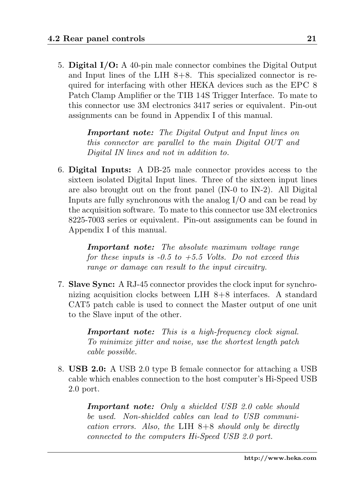5. Digital I/O: A 40-pin male connector combines the Digital Output and Input lines of the LIH  $8+8$ . This specialized connector is required for interfacing with other HEKA devices such as the EPC 8 Patch Clamp Amplifier or the TIB 14S Trigger Interface. To mate to this connector use 3M electronics 3417 series or equivalent. Pin-out assignments can be found in Appendix I of this manual.

> Important note: The Digital Output and Input lines on this connector are parallel to the main Digital OUT and Digital IN lines and not in addition to.

6. Digital Inputs: A DB-25 male connector provides access to the sixteen isolated Digital Input lines. Three of the sixteen input lines are also brought out on the front panel (IN-0 to IN-2). All Digital Inputs are fully synchronous with the analog I/O and can be read by the acquisition software. To mate to this connector use 3M electronics 8225-7003 series or equivalent. Pin-out assignments can be found in Appendix I of this manual.

> Important note: The absolute maximum voltage range for these inputs is  $-0.5$  to  $+5.5$  Volts. Do not exceed this range or damage can result to the input circuitry.

7. Slave Sync: A RJ-45 connector provides the clock input for synchronizing acquisition clocks between LIH 8+8 interfaces. A standard CAT5 patch cable is used to connect the Master output of one unit to the Slave input of the other.

> Important note: This is a high-frequency clock signal. To minimize jitter and noise, use the shortest length patch cable possible.

8. USB 2.0: A USB 2.0 type B female connector for attaching a USB cable which enables connection to the host computer's Hi-Speed USB 2.0 port.

> Important note: Only a shielded USB 2.0 cable should be used. Non-shielded cables can lead to USB communication errors. Also, the LIH  $8+8$  should only be directly connected to the computers Hi-Speed USB 2.0 port.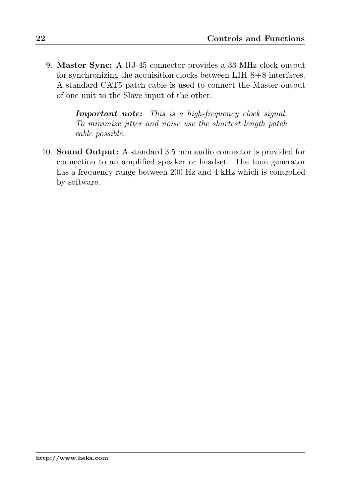9. Master Sync: A RJ-45 connector provides a 33 MHz clock output for synchronizing the acquisition clocks between LIH  $8+8$  interfaces. A standard CAT5 patch cable is used to connect the Master output of one unit to the Slave input of the other.

> Important note: This is a high-frequency clock signal. To minimize jitter and noise use the shortest length patch cable possible.

10. Sound Output: A standard 3.5 mm audio connector is provided for connection to an amplified speaker or headset. The tone generator has a frequency range between 200 Hz and 4 kHz which is controlled by software.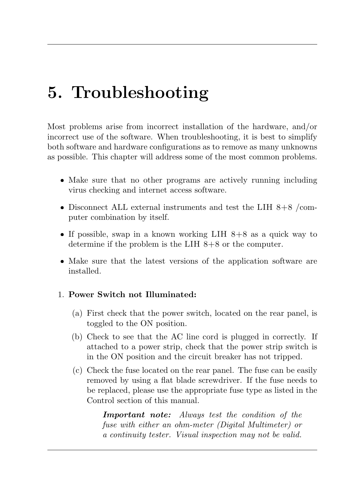# <span id="page-30-0"></span>5. Troubleshooting

Most problems arise from incorrect installation of the hardware, and/or incorrect use of the software. When troubleshooting, it is best to simplify both software and hardware configurations as to remove as many unknowns as possible. This chapter will address some of the most common problems.

- Make sure that no other programs are actively running including virus checking and internet access software.
- Disconnect ALL external instruments and test the LIH 8+8 /computer combination by itself.
- $\bullet$  If possible, swap in a known working LIH 8+8 as a quick way to determine if the problem is the LIH 8+8 or the computer.
- Make sure that the latest versions of the application software are installed.

#### 1. Power Switch not Illuminated:

- (a) First check that the power switch, located on the rear panel, is toggled to the ON position.
- (b) Check to see that the AC line cord is plugged in correctly. If attached to a power strip, check that the power strip switch is in the ON position and the circuit breaker has not tripped.
- (c) Check the fuse located on the rear panel. The fuse can be easily removed by using a flat blade screwdriver. If the fuse needs to be replaced, please use the appropriate fuse type as listed in the Control section of this manual.

Important note: Always test the condition of the fuse with either an ohm-meter (Digital Multimeter) or a continuity tester. Visual inspection may not be valid.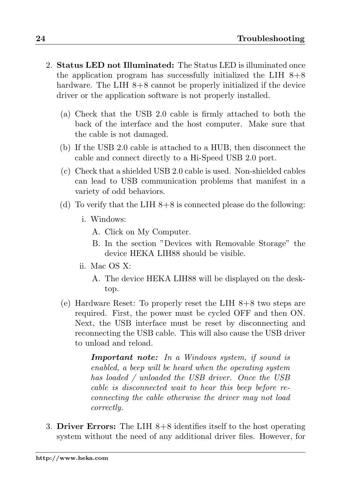- 2. Status LED not Illuminated: The Status LED is illuminated once the application program has successfully initialized the LIH  $8+8$ hardware. The LIH  $8+8$  cannot be properly initialized if the device driver or the application software is not properly installed.
	- (a) Check that the USB 2.0 cable is firmly attached to both the back of the interface and the host computer. Make sure that the cable is not damaged.
	- (b) If the USB 2.0 cable is attached to a HUB, then disconnect the cable and connect directly to a Hi-Speed USB 2.0 port.
	- (c) Check that a shielded USB 2.0 cable is used. Non-shielded cables can lead to USB communication problems that manifest in a variety of odd behaviors.
	- (d) To verify that the LIH  $8+8$  is connected please do the following:
		- i. Windows:
			- A. Click on My Computer.
			- B. In the section "Devices with Removable Storage" the device HEKA LIH88 should be visible.
		- ii. Mac OS X:
			- A. The device HEKA LIH88 will be displayed on the desktop.
	- (e) Hardware Reset: To properly reset the LIH  $8+8$  two steps are required. First, the power must be cycled OFF and then ON. Next, the USB interface must be reset by disconnecting and reconnecting the USB cable. This will also cause the USB driver to unload and reload.

Important note: In a Windows system, if sound is enabled, a beep will be heard when the operating system has loaded / unloaded the USB driver. Once the USB cable is disconnected wait to hear this beep before reconnecting the cable otherwise the driver may not load correctly.

3. Driver Errors: The LIH  $8+8$  identifies itself to the host operating system without the need of any additional driver files. However, for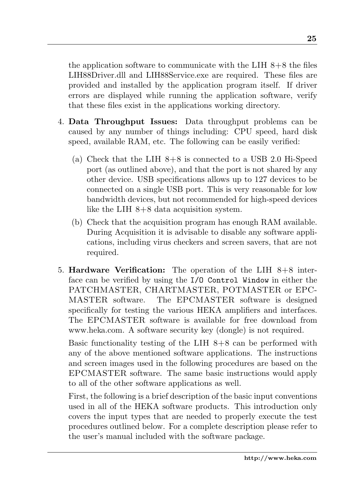the application software to communicate with the LIH  $8+8$  the files LIH88Driver.dll and LIH88Service.exe are required. These files are provided and installed by the application program itself. If driver errors are displayed while running the application software, verify that these files exist in the applications working directory.

- 4. Data Throughput Issues: Data throughput problems can be caused by any number of things including: CPU speed, hard disk speed, available RAM, etc. The following can be easily verified:
	- (a) Check that the LIH  $8+8$  is connected to a USB 2.0 Hi-Speed port (as outlined above), and that the port is not shared by any other device. USB specifications allows up to 127 devices to be connected on a single USB port. This is very reasonable for low bandwidth devices, but not recommended for high-speed devices like the LIH 8+8 data acquisition system.
	- (b) Check that the acquisition program has enough RAM available. During Acquisition it is advisable to disable any software applications, including virus checkers and screen savers, that are not required.
- 5. Hardware Verification: The operation of the LIH 8+8 interface can be verified by using the I/O Control Window in either the PATCHMASTER, CHARTMASTER, POTMASTER or EPC-MASTER software. The EPCMASTER software is designed specifically for testing the various HEKA amplifiers and interfaces. The EPCMASTER software is available for free download from www.heka.com. A software security key (dongle) is not required.

Basic functionality testing of the LIH  $8+8$  can be performed with any of the above mentioned software applications. The instructions and screen images used in the following procedures are based on the EPCMASTER software. The same basic instructions would apply to all of the other software applications as well.

First, the following is a brief description of the basic input conventions used in all of the HEKA software products. This introduction only covers the input types that are needed to properly execute the test procedures outlined below. For a complete description please refer to the user's manual included with the software package.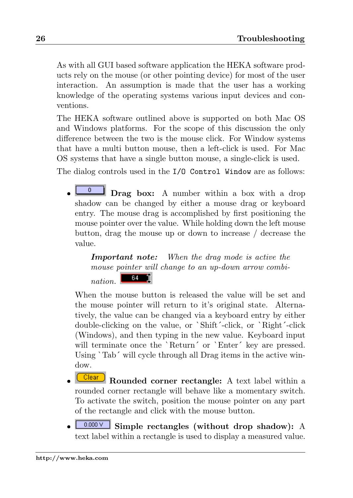As with all GUI based software application the HEKA software products rely on the mouse (or other pointing device) for most of the user interaction. An assumption is made that the user has a working knowledge of the operating systems various input devices and conventions.

The HEKA software outlined above is supported on both Mac OS and Windows platforms. For the scope of this discussion the only difference between the two is the mouse click. For Window systems that have a multi button mouse, then a left-click is used. For Mac OS systems that have a single button mouse, a single-click is used.

The dialog controls used in the I/O Control Window are as follows:

 $\overline{\mathbf{D}}$  **Drag box:** A number within a box with a drop shadow can be changed by either a mouse drag or keyboard entry. The mouse drag is accomplished by first positioning the mouse pointer over the value. While holding down the left mouse button, drag the mouse up or down to increase / decrease the value.

Important note: When the drag mode is active the mouse pointer will change to an up-down arrow combi-

64 nation.

When the mouse button is released the value will be set and the mouse pointer will return to it's original state. Alternatively, the value can be changed via a keyboard entry by either double-clicking on the value, or `Shift´-click, or `Right´-click (Windows), and then typing in the new value. Keyboard input will terminate once the `Return´ or `Enter´ key are pressed. Using `Tab´ will cycle through all Drag items in the active window.

- Clear Rounded corner rectangle: A text label within a rounded corner rectangle will behave like a momentary switch. To activate the switch, position the mouse pointer on any part of the rectangle and click with the mouse button.
- $\frac{0.000 \vee}{\text{Simple rectangles}}$  (without drop shadow): A text label within a rectangle is used to display a measured value.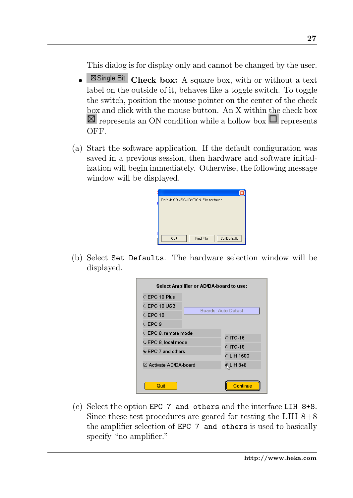This dialog is for display only and cannot be changed by the user.

- **Example Bit** Check box: A square box, with or without a text label on the outside of it, behaves like a toggle switch. To toggle the switch, position the mouse pointer on the center of the check box and click with the mouse button. An X within the check box  $\boxtimes$  represents an ON condition while a hollow box  $\Box$  represents OFF.
- (a) Start the software application. If the default configuration was saved in a previous session, then hardware and software initialization will begin immediately. Otherwise, the following message window will be displayed.



(b) Select Set Defaults. The hardware selection window will be displayed.

| Select Amplifier or AD/DA-board to use: |                     |  |  |  |
|-----------------------------------------|---------------------|--|--|--|
| C EPC 10 Plus                           |                     |  |  |  |
| O FPC 10 USB                            | Boards: Auto Detect |  |  |  |
| <b>OFPC10</b>                           |                     |  |  |  |
| C EPC 9                                 |                     |  |  |  |
| C EPC 8, remote mode                    | C ITC-16            |  |  |  |
| C EPC 8, local mode                     | C ITC-18            |  |  |  |
| ⊛ EPC 7 and others                      |                     |  |  |  |
|                                         | C LIH 1600          |  |  |  |
| ⊠ Activate AD/DA-board                  | <b>RLIH 8+8</b>     |  |  |  |
| Quit                                    | Continue            |  |  |  |

(c) Select the option EPC 7 and others and the interface LIH 8+8. Since these test procedures are geared for testing the LIH  $8+8$ the amplifier selection of EPC 7 and others is used to basically specify "no amplifier."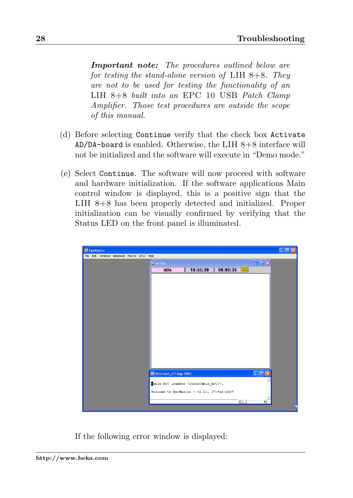Important note: The procedures outlined below are for testing the stand-alone version of LIH  $8+8$ . They are not to be used for testing the functionality of an LIH 8+8 built into an EPC 10 USB Patch Clamp Amplifier. Those test procedures are outside the scope of this manual.

- (d) Before selecting Continue verify that the check box Activate  $AD/DA$ -board is enabled. Otherwise, the LIH  $8+8$  interface will not be initialized and the software will execute in "Demo mode."
- (e) Select Continue. The software will now proceed with software and hardware initialization. If the software applications Main control window is displayed, this is a positive sign that the LIH 8+8 has been properly detected and initialized. Proper initialization can be visually confirmed by verifying that the Status LED on the front panel is illuminated.

| <b>ELE</b> EpcMaster                        |                                           | $\Box$ D $x$                |
|---------------------------------------------|-------------------------------------------|-----------------------------|
| File Edit Windows Notebook Macros EPC7 Help |                                           |                             |
|                                             | $\frac{1}{n+1}$ no file                   | $\Box \Box x$               |
|                                             | 16:55:39<br>$00:00:35$ Set<br>idle        |                             |
|                                             |                                           |                             |
|                                             |                                           |                             |
|                                             |                                           |                             |
|                                             |                                           |                             |
|                                             |                                           |                             |
|                                             |                                           |                             |
|                                             |                                           |                             |
|                                             |                                           |                             |
|                                             |                                           |                             |
|                                             |                                           |                             |
|                                             |                                           |                             |
|                                             |                                           |                             |
|                                             |                                           |                             |
|                                             |                                           |                             |
|                                             | Motebook_07-Sep-2007                      | $\Box$ o $\times$           |
|                                             | Bable NOT loaded: "IGainTable_EPC7".      |                             |
|                                             | Welcome to EpcMaster - v2.21, 27-Feb-2007 |                             |
|                                             |                                           |                             |
|                                             |                                           | $\left  \cdot \right $<br>¥ |
|                                             |                                           |                             |

If the following error window is displayed: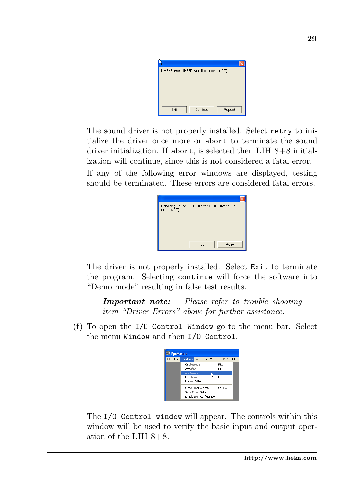|      | LIH 8+8 error: LIH88Driver.dll not found. (v0/0) |  |
|------|--------------------------------------------------|--|
|      |                                                  |  |
|      |                                                  |  |
|      |                                                  |  |
|      |                                                  |  |
|      |                                                  |  |
| Exit | Continue<br>Repeat                               |  |

The sound driver is not properly installed. Select retry to initialize the driver once more or abort to terminate the sound driver initialization. If abort, is selected then  $LIH 8+8$  initialization will continue, since this is not considered a fatal error.

If any of the following error windows are displayed, testing should be terminated. These errors are considered fatal errors.

| Initializing Sound - LIH 8+8 error: LIH88Driver.dll not<br>found. (v0/0) |  |
|--------------------------------------------------------------------------|--|
| Abort<br>Retry                                                           |  |

The driver is not properly installed. Select Exit to terminate the program. Selecting continue will force the software into "Demo mode" resulting in false test results.

Important note: Please refer to trouble shooting item "Driver Errors" above for further assistance.

(f) To open the I/O Control Window go to the menu bar. Select the menu Window and then I/O Control.



The I/O Control window will appear. The controls within this window will be used to verify the basic input and output operation of the LIH  $8+8$ .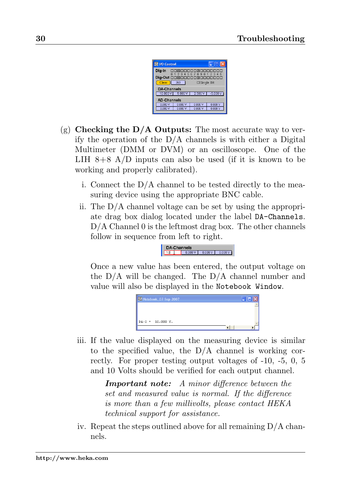| <b>EL I/O Control</b>                     |                                     |         |           |  |  |
|-------------------------------------------|-------------------------------------|---------|-----------|--|--|
| Dig-In                                    | nnsnnnnnsnnnnnn<br>0123456789012345 |         |           |  |  |
| Dig-Out 00800000080000000<br>Clear<br>260 |                                     |         |           |  |  |
| □Single Bit<br><b>DA-Channels</b>         |                                     |         |           |  |  |
| $10.000\,\mathrm{V}$                      | 5.000V                              | 2.500V  | $-5.000V$ |  |  |
| <b>AD-Channels</b>                        |                                     |         |           |  |  |
| 0.000V                                    | n non v                             | 0.000V  | 0.000V    |  |  |
| 0.000 V                                   | 0.000 V                             | n nnn v | 0.000 V   |  |  |

- (g) Checking the  $D/A$  Outputs: The most accurate way to verify the operation of the  $D/A$  channels is with either a Digital Multimeter (DMM or DVM) or an oscilloscope. One of the LIH  $8+8$  A/D inputs can also be used (if it is known to be working and properly calibrated).
	- i. Connect the D/A channel to be tested directly to the measuring device using the appropriate BNC cable.
	- ii. The D/A channel voltage can be set by using the appropriate drag box dialog located under the label DA-Channels. D/A Channel 0 is the leftmost drag box. The other channels follow in sequence from left to right.

 $DA-Channels$ 

Once a new value has been entered, the output voltage on the  $D/A$  will be changed. The  $D/A$  channel number and value will also be displayed in the Notebook Window.



iii. If the value displayed on the measuring device is similar to the specified value, the D/A channel is working correctly. For proper testing output voltages of -10, -5, 0, 5 and 10 Volts should be verified for each output channel.

> Important note: A minor difference between the set and measured value is normal. If the difference is more than a few millivolts, please contact HEKA technical support for assistance.

iv. Repeat the steps outlined above for all remaining D/A channels.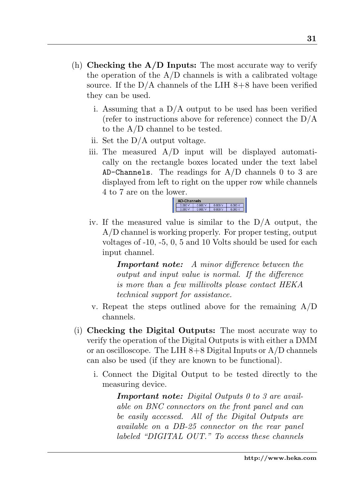- (h) Checking the  $A/D$  Inputs: The most accurate way to verify the operation of the  $A/D$  channels is with a calibrated voltage source. If the  $D/A$  channels of the LIH  $8+8$  have been verified they can be used.
	- i. Assuming that a D/A output to be used has been verified (refer to instructions above for reference) connect the  $D/A$ to the A/D channel to be tested.
	- ii. Set the D/A output voltage.
	- iii. The measured A/D input will be displayed automatically on the rectangle boxes located under the text label AD-Channels. The readings for  $A/D$  channels 0 to 3 are displayed from left to right on the upper row while channels 4 to 7 are on the lower.



iv. If the measured value is similar to the D/A output, the A/D channel is working properly. For proper testing, output voltages of -10, -5, 0, 5 and 10 Volts should be used for each input channel.

> Important note: A minor difference between the output and input value is normal. If the difference is more than a few millivolts please contact HEKA technical support for assistance.

- v. Repeat the steps outlined above for the remaining  $A/D$ channels.
- (i) Checking the Digital Outputs: The most accurate way to verify the operation of the Digital Outputs is with either a DMM or an oscilloscope. The LIH  $8+8$  Digital Inputs or A/D channels can also be used (if they are known to be functional).
	- i. Connect the Digital Output to be tested directly to the measuring device.

**Important note:** Digital Outputs  $\theta$  to  $\theta$  are available on BNC connectors on the front panel and can be easily accessed. All of the Digital Outputs are available on a DB-25 connector on the rear panel labeled "DIGITAL OUT." To access these channels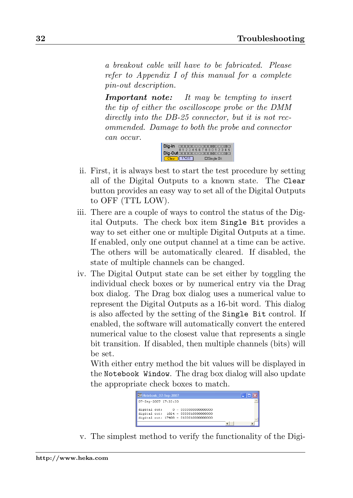a breakout cable will have to be fabricated. Please refer to Appendix I of this manual for a complete pin-out description.

Important note: It may be tempting to insert the tip of either the oscilloscope probe or the DMM directly into the DB-25 connector, but it is not recommended. Damage to both the probe and connector can occur.



- ii. First, it is always best to start the test procedure by setting all of the Digital Outputs to a known state. The Clear button provides an easy way to set all of the Digital Outputs to OFF (TTL LOW).
- iii. There are a couple of ways to control the status of the Digital Outputs. The check box item Single Bit provides a way to set either one or multiple Digital Outputs at a time. If enabled, only one output channel at a time can be active. The others will be automatically cleared. If disabled, the state of multiple channels can be changed.
- iv. The Digital Output state can be set either by toggling the individual check boxes or by numerical entry via the Drag box dialog. The Drag box dialog uses a numerical value to represent the Digital Outputs as a 16-bit word. This dialog is also affected by the setting of the Single Bit control. If enabled, the software will automatically convert the entered numerical value to the closest value that represents a single bit transition. If disabled, then multiple channels (bits) will be set.

With either entry method the bit values will be displayed in the Notebook Window. The drag box dialog will also update the appropriate check boxes to match.



v. The simplest method to verify the functionality of the Digi-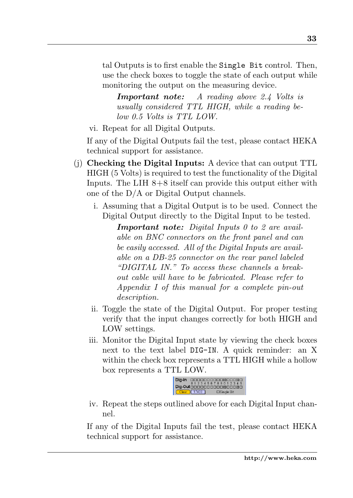tal Outputs is to first enable the Single Bit control. Then, use the check boxes to toggle the state of each output while monitoring the output on the measuring device.

Important note: A reading above 2.4 Volts is usually considered TTL HIGH, while a reading below 0.5 Volts is TTL LOW.

vi. Repeat for all Digital Outputs.

If any of the Digital Outputs fail the test, please contact HEKA technical support for assistance.

- (j) Checking the Digital Inputs: A device that can output TTL HIGH (5 Volts) is required to test the functionality of the Digital Inputs. The LIH 8+8 itself can provide this output either with one of the D/A or Digital Output channels.
	- i. Assuming that a Digital Output is to be used. Connect the Digital Output directly to the Digital Input to be tested.

Important note: Digital Inputs 0 to 2 are available on BNC connectors on the front panel and can be easily accessed. All of the Digital Inputs are available on a DB-25 connector on the rear panel labeled "DIGITAL IN." To access these channels a breakout cable will have to be fabricated. Please refer to Appendix I of this manual for a complete pin-out description.

- ii. Toggle the state of the Digital Output. For proper testing verify that the input changes correctly for both HIGH and LOW settings.
- iii. Monitor the Digital Input state by viewing the check boxes next to the text label DIG-IN. A quick reminder: an X within the check box represents a TTL HIGH while a hollow box represents a TTL LOW.



iv. Repeat the steps outlined above for each Digital Input channel.

If any of the Digital Inputs fail the test, please contact HEKA technical support for assistance.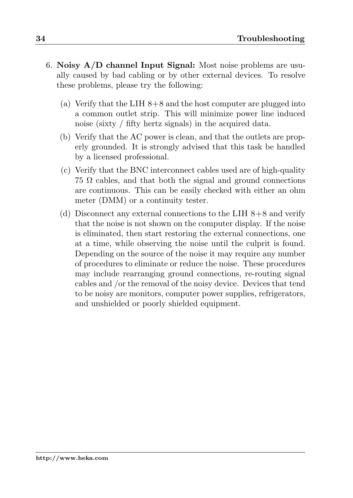- 6. Noisy  $A/D$  channel Input Signal: Most noise problems are usually caused by bad cabling or by other external devices. To resolve these problems, please try the following:
	- (a) Verify that the LIH  $8+8$  and the host computer are plugged into a common outlet strip. This will minimize power line induced noise (sixty / fifty hertz signals) in the acquired data.
	- (b) Verify that the AC power is clean, and that the outlets are properly grounded. It is strongly advised that this task be handled by a licensed professional.
	- (c) Verify that the BNC interconnect cables used are of high-quality  $75 \Omega$  cables, and that both the signal and ground connections are continuous. This can be easily checked with either an ohm meter (DMM) or a continuity tester.
	- (d) Disconnect any external connections to the LIH  $8+8$  and verify that the noise is not shown on the computer display. If the noise is eliminated, then start restoring the external connections, one at a time, while observing the noise until the culprit is found. Depending on the source of the noise it may require any number of procedures to eliminate or reduce the noise. These procedures may include rearranging ground connections, re-routing signal cables and /or the removal of the noisy device. Devices that tend to be noisy are monitors, computer power supplies, refrigerators, and unshielded or poorly shielded equipment.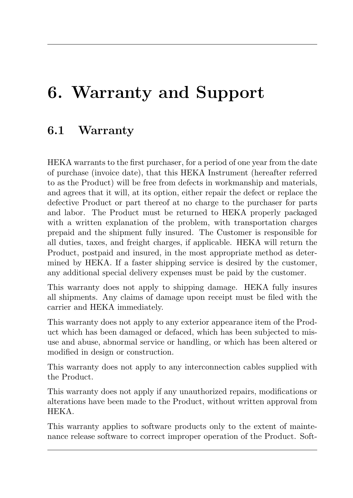# <span id="page-42-0"></span>6. Warranty and Support

### <span id="page-42-1"></span>6.1 Warranty

HEKA warrants to the first purchaser, for a period of one year from the date of purchase (invoice date), that this HEKA Instrument (hereafter referred to as the Product) will be free from defects in workmanship and materials, and agrees that it will, at its option, either repair the defect or replace the defective Product or part thereof at no charge to the purchaser for parts and labor. The Product must be returned to HEKA properly packaged with a written explanation of the problem, with transportation charges prepaid and the shipment fully insured. The Customer is responsible for all duties, taxes, and freight charges, if applicable. HEKA will return the Product, postpaid and insured, in the most appropriate method as determined by HEKA. If a faster shipping service is desired by the customer, any additional special delivery expenses must be paid by the customer.

This warranty does not apply to shipping damage. HEKA fully insures all shipments. Any claims of damage upon receipt must be filed with the carrier and HEKA immediately.

This warranty does not apply to any exterior appearance item of the Product which has been damaged or defaced, which has been subjected to misuse and abuse, abnormal service or handling, or which has been altered or modified in design or construction.

This warranty does not apply to any interconnection cables supplied with the Product.

This warranty does not apply if any unauthorized repairs, modifications or alterations have been made to the Product, without written approval from HEKA.

This warranty applies to software products only to the extent of maintenance release software to correct improper operation of the Product. Soft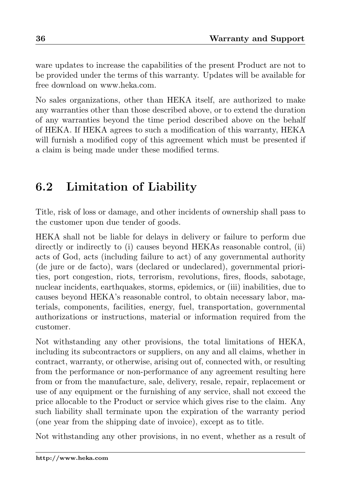ware updates to increase the capabilities of the present Product are not to be provided under the terms of this warranty. Updates will be available for free download on www.heka.com.

No sales organizations, other than HEKA itself, are authorized to make any warranties other than those described above, or to extend the duration of any warranties beyond the time period described above on the behalf of HEKA. If HEKA agrees to such a modification of this warranty, HEKA will furnish a modified copy of this agreement which must be presented if a claim is being made under these modified terms.

# <span id="page-43-0"></span>6.2 Limitation of Liability

Title, risk of loss or damage, and other incidents of ownership shall pass to the customer upon due tender of goods.

HEKA shall not be liable for delays in delivery or failure to perform due directly or indirectly to (i) causes beyond HEKAs reasonable control, (ii) acts of God, acts (including failure to act) of any governmental authority (de jure or de facto), wars (declared or undeclared), governmental priorities, port congestion, riots, terrorism, revolutions, fires, floods, sabotage, nuclear incidents, earthquakes, storms, epidemics, or (iii) inabilities, due to causes beyond HEKA's reasonable control, to obtain necessary labor, materials, components, facilities, energy, fuel, transportation, governmental authorizations or instructions, material or information required from the customer.

Not withstanding any other provisions, the total limitations of HEKA, including its subcontractors or suppliers, on any and all claims, whether in contract, warranty, or otherwise, arising out of, connected with, or resulting from the performance or non-performance of any agreement resulting here from or from the manufacture, sale, delivery, resale, repair, replacement or use of any equipment or the furnishing of any service, shall not exceed the price allocable to the Product or service which gives rise to the claim. Any such liability shall terminate upon the expiration of the warranty period (one year from the shipping date of invoice), except as to title.

Not withstanding any other provisions, in no event, whether as a result of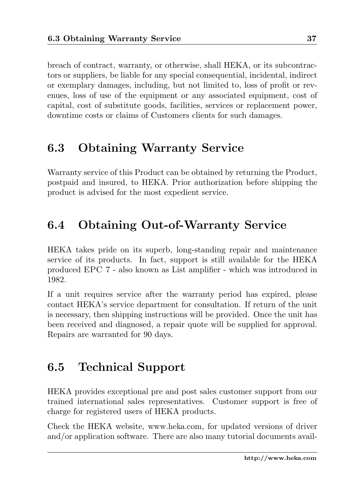breach of contract, warranty, or otherwise, shall HEKA, or its subcontractors or suppliers, be liable for any special consequential, incidental, indirect or exemplary damages, including, but not limited to, loss of profit or revenues, loss of use of the equipment or any associated equipment, cost of capital, cost of substitute goods, facilities, services or replacement power, downtime costs or claims of Customers clients for such damages.

### <span id="page-44-0"></span>6.3 Obtaining Warranty Service

Warranty service of this Product can be obtained by returning the Product, postpaid and insured, to HEKA. Prior authorization before shipping the product is advised for the most expedient service.

# <span id="page-44-1"></span>6.4 Obtaining Out-of-Warranty Service

HEKA takes pride on its superb, long-standing repair and maintenance service of its products. In fact, support is still available for the HEKA produced EPC 7 - also known as List amplifier - which was introduced in 1982.

If a unit requires service after the warranty period has expired, please contact HEKA's service department for consultation. If return of the unit is necessary, then shipping instructions will be provided. Once the unit has been received and diagnosed, a repair quote will be supplied for approval. Repairs are warranted for 90 days.

### <span id="page-44-2"></span>6.5 Technical Support

HEKA provides exceptional pre and post sales customer support from our trained international sales representatives. Customer support is free of charge for registered users of HEKA products.

Check the HEKA website, www.heka.com, for updated versions of driver and/or application software. There are also many tutorial documents avail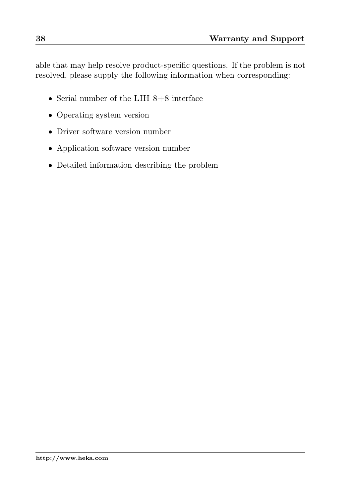able that may help resolve product-specific questions. If the problem is not resolved, please supply the following information when corresponding:

- Serial number of the LIH  $8+8$  interface
- Operating system version
- Driver software version number
- Application software version number
- Detailed information describing the problem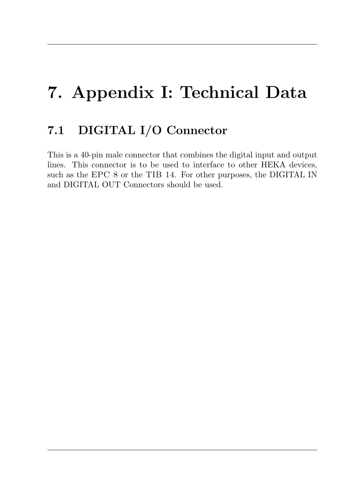# <span id="page-46-0"></span>7. Appendix I: Technical Data

## <span id="page-46-1"></span>7.1 DIGITAL I/O Connector

This is a 40-pin male connector that combines the digital input and output lines. This connector is to be used to interface to other HEKA devices, such as the EPC 8 or the TIB 14. For other purposes, the DIGITAL IN and DIGITAL OUT Connectors should be used.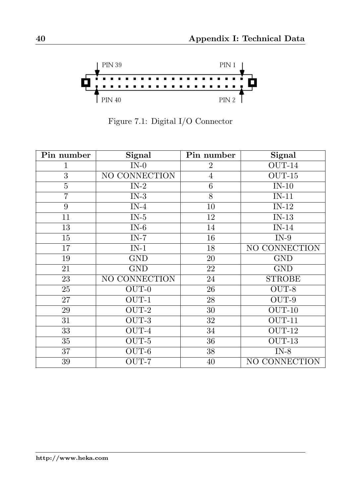

<span id="page-47-0"></span>Figure 7.1: Digital I/O Connector

| Pin number     | Signal                    | Pin number      | <b>Signal</b>     |
|----------------|---------------------------|-----------------|-------------------|
| 1              | $IN-0$                    | 2               | $OUT-14$          |
| $\overline{3}$ | NO CONNECTION             | 4               | $OUT-15$          |
| $\bf 5$        | $IN-2$                    | 6               | $IN-10$           |
| $\overline{7}$ | $\overline{\text{IN-3}}$  | $\overline{8}$  | $IN-11$           |
| 9              | $IN-4$                    | 10              | $IN-12$           |
| 11             | IN-5                      | 12              | $IN-13$           |
| 13             | $IN-6$                    | 14              | $IN-14$           |
| 15             | $\overline{IN-7}$         | 16              | $\overline{IN-9}$ |
| 17             | $IN-1$                    | 18              | NO CONNECTION     |
| 19             | <b>GND</b>                | $20\,$          | <b>GND</b>        |
| 21             | <b>GND</b>                | 22              | <b>GND</b>        |
| 23             | NO CONNECTION             | 24              | <b>STROBE</b>     |
| 25             | OUT-0                     | 26              | OUT-8             |
| 27             | $OUT-1$                   | $28\,$          | OUT-9             |
| 29             | OUT-2                     | $30\,$          | $OUT-10$          |
| 31             | OUT-3                     | 32              | $OUT-11$          |
| 33             | $\overline{\text{OUT-4}}$ | $\overline{34}$ | $OUT-12$          |
| 35             | OUT-5                     | 36              | $OUT-13$          |
| 37             | OUT-6                     | 38              | $IN-8$            |
| 39             | OUT-7                     | 40              | NO CONNECTION     |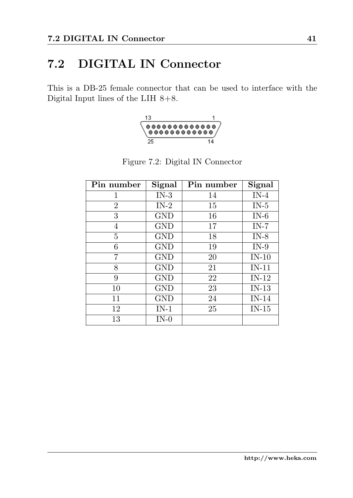# <span id="page-48-0"></span>7.2 DIGITAL IN Connector

This is a DB-25 female connector that can be used to interface with the Digital Input lines of the LIH 8+8.

<span id="page-48-1"></span>

| Pin number     | Signal     | Pin number | Signal  |
|----------------|------------|------------|---------|
| 1              | $IN-3$     | 14         | $IN-4$  |
| $\overline{2}$ | $IN-2$     | 15         | $IN-5$  |
| 3              | <b>GND</b> | 16         | $IN-6$  |
| 4              | <b>GND</b> | 17         | $IN-7$  |
| 5              | <b>GND</b> | 18         | $IN-8$  |
| 6              | <b>GND</b> | 19         | $IN-9$  |
| 7              | <b>GND</b> | 20         | $IN-10$ |
| 8              | <b>GND</b> | 21         | $IN-11$ |
| 9              | <b>GND</b> | 22         | $IN-12$ |
| 10             | <b>GND</b> | 23         | $IN-13$ |
| 11             | <b>GND</b> | 24         | $IN-14$ |
| 12             | $IN-1$     | 25         | $IN-15$ |
| 13             | $IN-0$     |            |         |

Figure 7.2: Digital IN Connector